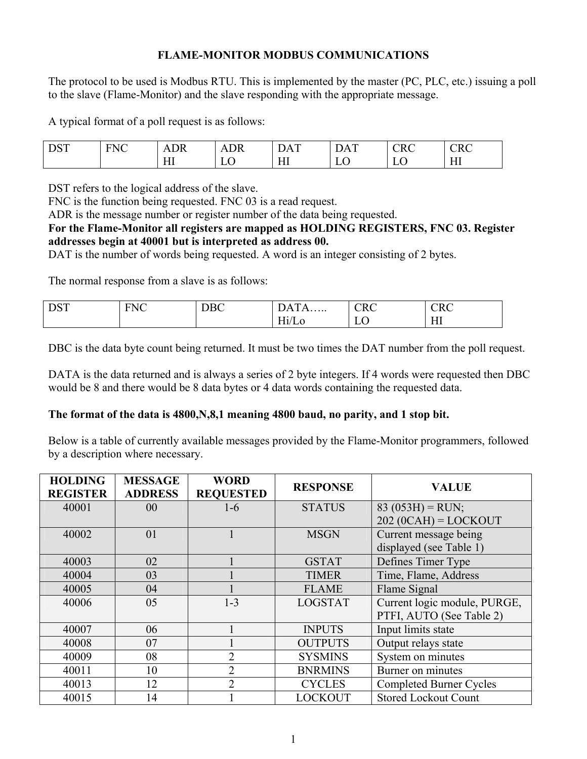# **FLAME-MONITOR MODBUS COMMUNICATIONS**

The protocol to be used is Modbus RTU. This is implemented by the master (PC, PLC, etc.) issuing a poll to the slave (Flame-Monitor) and the slave responding with the appropriate message.

A typical format of a poll request is as follows:

| DST<br>D <sub>21</sub> | $\mathbf{H}$<br><b>NI</b><br>_____ | \DK.       | ιк          |                | $\mathbf{r}$<br>ם ו | $\sim$ | __       |
|------------------------|------------------------------------|------------|-------------|----------------|---------------------|--------|----------|
|                        |                                    | <b>TTT</b> | ∸<br>$\sim$ | <b>TTT</b><br> | ◡<br>____           | $\sim$ | y yn<br> |

DST refers to the logical address of the slave.

FNC is the function being requested. FNC 03 is a read request.

ADR is the message number or register number of the data being requested.

**For the Flame-Monitor all registers are mapped as HOLDING REGISTERS, FNC 03. Register addresses begin at 40001 but is interpreted as address 00.** 

DAT is the number of words being requested. A word is an integer consisting of 2 bytes.

The normal response from a slave is as follows:

| <b>DST</b> | T T<br>FNC | <b>DBC</b> | $\mathbf{v}$<br>$L\Lambda$ is $\Lambda$ is a set of $\Lambda$ | <b>CRC</b> | <b>CRC</b>      |
|------------|------------|------------|---------------------------------------------------------------|------------|-----------------|
|            |            |            | ---<br>-<br>$\Gamma$ II/LO<br>$\sim$ $\sim$                   | ◡<br>_____ | $- - -$<br>TTT. |

DBC is the data byte count being returned. It must be two times the DAT number from the poll request.

DATA is the data returned and is always a series of 2 byte integers. If 4 words were requested then DBC would be 8 and there would be 8 data bytes or 4 data words containing the requested data.

### **The format of the data is 4800,N,8,1 meaning 4800 baud, no parity, and 1 stop bit.**

Below is a table of currently available messages provided by the Flame-Monitor programmers, followed by a description where necessary.

| <b>HOLDING</b><br><b>REGISTER</b> | <b>MESSAGE</b><br><b>ADDRESS</b> | <b>WORD</b><br><b>REQUESTED</b> | <b>RESPONSE</b> | <b>VALUE</b>                   |
|-----------------------------------|----------------------------------|---------------------------------|-----------------|--------------------------------|
| 40001                             | 00 <sup>°</sup>                  | $1-6$                           | <b>STATUS</b>   | $83(053H) = RUN;$              |
|                                   |                                  |                                 |                 | $202 (0CAH) =$ LOCKOUT         |
| 40002                             | 01                               |                                 | <b>MSGN</b>     | Current message being          |
|                                   |                                  |                                 |                 | displayed (see Table 1)        |
| 40003                             | 02                               |                                 | <b>GSTAT</b>    | Defines Timer Type             |
| 40004                             | 03                               |                                 | <b>TIMER</b>    | Time, Flame, Address           |
| 40005                             | 04                               |                                 | <b>FLAME</b>    | Flame Signal                   |
| 40006                             | 05                               | $1 - 3$                         | <b>LOGSTAT</b>  | Current logic module, PURGE,   |
|                                   |                                  |                                 |                 | PTFI, AUTO (See Table 2)       |
| 40007                             | 06                               |                                 | <b>INPUTS</b>   | Input limits state             |
| 40008                             | 07                               |                                 | <b>OUTPUTS</b>  | Output relays state            |
| 40009                             | 08                               | $\overline{2}$                  | <b>SYSMINS</b>  | System on minutes              |
| 40011                             | 10                               | $\overline{2}$                  | <b>BNRMINS</b>  | Burner on minutes              |
| 40013                             | 12                               | $\mathfrak{D}$                  | <b>CYCLES</b>   | <b>Completed Burner Cycles</b> |
| 40015                             | 14                               |                                 | <b>LOCKOUT</b>  | <b>Stored Lockout Count</b>    |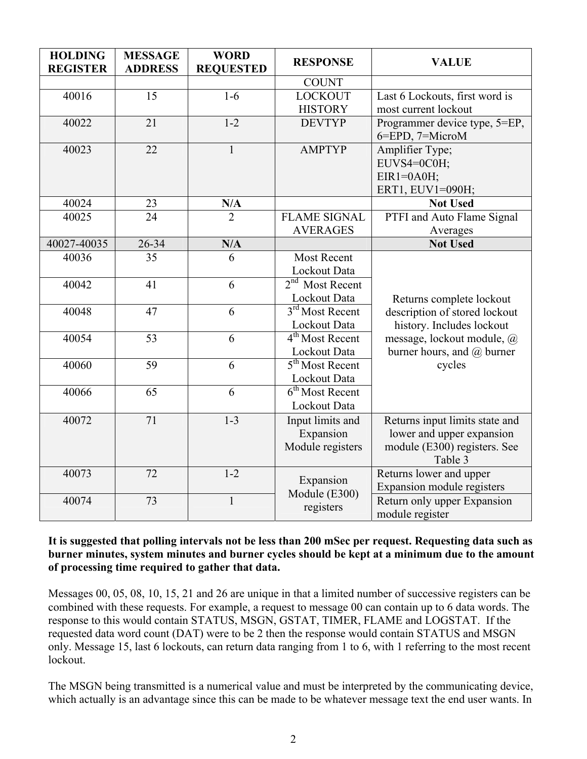| <b>HOLDING</b><br><b>REGISTER</b> | <b>MESSAGE</b><br><b>ADDRESS</b> | <b>WORD</b><br><b>REQUESTED</b> | <b>RESPONSE</b>             | <b>VALUE</b>                      |
|-----------------------------------|----------------------------------|---------------------------------|-----------------------------|-----------------------------------|
|                                   |                                  |                                 | <b>COUNT</b>                |                                   |
| 40016                             | 15                               | $1-6$                           | <b>LOCKOUT</b>              | Last 6 Lockouts, first word is    |
|                                   |                                  |                                 | <b>HISTORY</b>              | most current lockout              |
| 40022                             | 21                               | $1 - 2$                         | <b>DEVTYP</b>               | Programmer device type, 5=EP,     |
|                                   |                                  |                                 |                             | 6=EPD, 7=MicroM                   |
| 40023                             | 22                               | $\mathbf{1}$                    | <b>AMPTYP</b>               | Amplifier Type;                   |
|                                   |                                  |                                 |                             | EUVS4=0C0H;                       |
|                                   |                                  |                                 |                             | $EIR1=0A0H$ ;                     |
|                                   |                                  |                                 |                             | ERT1, EUV1=090H;                  |
| 40024                             | 23                               | N/A                             |                             | <b>Not Used</b>                   |
| 40025                             | 24                               | $\overline{2}$                  | <b>FLAME SIGNAL</b>         | PTFI and Auto Flame Signal        |
|                                   |                                  |                                 | <b>AVERAGES</b>             | Averages                          |
| 40027-40035                       | 26-34                            | N/A                             |                             | <b>Not Used</b>                   |
| 40036                             | 35                               | 6                               | <b>Most Recent</b>          |                                   |
|                                   |                                  |                                 | Lockout Data                |                                   |
| 40042                             | 41                               | 6                               | $2nd$ Most Recent           |                                   |
|                                   |                                  |                                 | Lockout Data                | Returns complete lockout          |
| 40048                             | 47                               | 6                               | 3 <sup>rd</sup> Most Recent | description of stored lockout     |
|                                   |                                  |                                 | Lockout Data                | history. Includes lockout         |
| 40054                             | 53                               | 6                               | 4 <sup>th</sup> Most Recent | message, lockout module, @        |
|                                   |                                  |                                 | Lockout Data                | burner hours, and $\omega$ burner |
| 40060                             | 59                               | 6                               | 5 <sup>th</sup> Most Recent | cycles                            |
|                                   |                                  |                                 | Lockout Data                |                                   |
| 40066                             | 65                               | 6                               | 6 <sup>th</sup> Most Recent |                                   |
|                                   |                                  |                                 | Lockout Data                |                                   |
| 40072                             | $\overline{71}$                  | $1 - 3$                         | Input limits and            | Returns input limits state and    |
|                                   |                                  |                                 | Expansion                   | lower and upper expansion         |
|                                   |                                  |                                 | Module registers            | module (E300) registers. See      |
|                                   |                                  |                                 |                             | Table 3                           |
| 40073                             | 72                               | $1 - 2$                         | Expansion                   | Returns lower and upper           |
|                                   |                                  |                                 | Module (E300)               | Expansion module registers        |
| 40074                             | 73                               | $\mathbf{1}$                    | registers                   | Return only upper Expansion       |
|                                   |                                  |                                 |                             | module register                   |

## **It is suggested that polling intervals not be less than 200 mSec per request. Requesting data such as burner minutes, system minutes and burner cycles should be kept at a minimum due to the amount of processing time required to gather that data.**

Messages 00, 05, 08, 10, 15, 21 and 26 are unique in that a limited number of successive registers can be combined with these requests. For example, a request to message 00 can contain up to 6 data words. The response to this would contain STATUS, MSGN, GSTAT, TIMER, FLAME and LOGSTAT. If the requested data word count (DAT) were to be 2 then the response would contain STATUS and MSGN only. Message 15, last 6 lockouts, can return data ranging from 1 to 6, with 1 referring to the most recent lockout.

The MSGN being transmitted is a numerical value and must be interpreted by the communicating device, which actually is an advantage since this can be made to be whatever message text the end user wants. In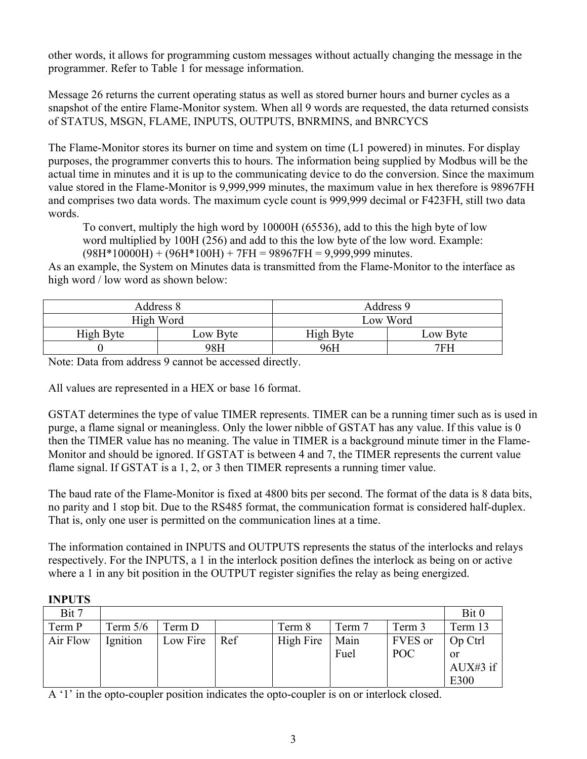other words, it allows for programming custom messages without actually changing the message in the programmer. Refer to Table 1 for message information.

Message 26 returns the current operating status as well as stored burner hours and burner cycles as a snapshot of the entire Flame-Monitor system. When all 9 words are requested, the data returned consists of STATUS, MSGN, FLAME, INPUTS, OUTPUTS, BNRMINS, and BNRCYCS

The Flame-Monitor stores its burner on time and system on time (L1 powered) in minutes. For display purposes, the programmer converts this to hours. The information being supplied by Modbus will be the actual time in minutes and it is up to the communicating device to do the conversion. Since the maximum value stored in the Flame-Monitor is 9,999,999 minutes, the maximum value in hex therefore is 98967FH and comprises two data words. The maximum cycle count is 999,999 decimal or F423FH, still two data words.

To convert, multiply the high word by 10000H (65536), add to this the high byte of low word multiplied by 100H (256) and add to this the low byte of the low word. Example:  $(98H*10000H) + (96H*100H) + 7FH = 98967FH = 9,999,999$  minutes.

As an example, the System on Minutes data is transmitted from the Flame-Monitor to the interface as high word / low word as shown below:

|           | Address 8 | Address 9 |          |  |
|-----------|-----------|-----------|----------|--|
|           | High Word |           | Low Word |  |
| High Byte | Low Byte  | High Byte | Low Byte |  |
|           | 98H       | 96H       | 7FH      |  |

Note: Data from address 9 cannot be accessed directly.

All values are represented in a HEX or base 16 format.

GSTAT determines the type of value TIMER represents. TIMER can be a running timer such as is used in purge, a flame signal or meaningless. Only the lower nibble of GSTAT has any value. If this value is 0 then the TIMER value has no meaning. The value in TIMER is a background minute timer in the Flame-Monitor and should be ignored. If GSTAT is between 4 and 7, the TIMER represents the current value flame signal. If GSTAT is a 1, 2, or 3 then TIMER represents a running timer value.

The baud rate of the Flame-Monitor is fixed at 4800 bits per second. The format of the data is 8 data bits, no parity and 1 stop bit. Due to the RS485 format, the communication format is considered half-duplex. That is, only one user is permitted on the communication lines at a time.

The information contained in INPUTS and OUTPUTS represents the status of the interlocks and relays respectively. For the INPUTS, a 1 in the interlock position defines the interlock as being on or active where a 1 in any bit position in the OUTPUT register signifies the relay as being energized.

**INPUTS** 

| <b>LITE U LD</b> |            |          |     |           |        |         |          |
|------------------|------------|----------|-----|-----------|--------|---------|----------|
| Bit 7            |            |          |     |           |        |         | Bit 0    |
| Term P           | Term $5/6$ | Term D   |     | Term 8    | Term 7 | Term 3  | Term 13  |
| Air Flow         | Ignition   | Low Fire | Ref | High Fire | Main   | FVES or | Op Ctrl  |
|                  |            |          |     |           | Fuel   | POC     | or       |
|                  |            |          |     |           |        |         | AUX#3 if |
|                  |            |          |     |           |        |         | E300     |

A '1' in the opto-coupler position indicates the opto-coupler is on or interlock closed.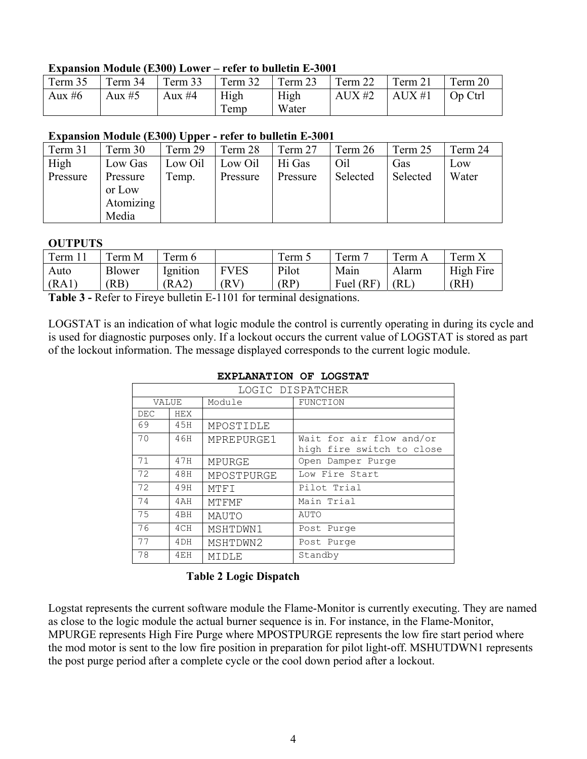## **Expansion Module (E300) Lower – refer to bulletin E-3001**

| Term 35  | Term 34  | Term 33  | Term 32         | Term 23       | Term 22  | Term 21             | Term 20     |
|----------|----------|----------|-----------------|---------------|----------|---------------------|-------------|
| Aux $#6$ | Aux $#5$ | Aux $#4$ | High<br>$T$ emp | High<br>Water | AUX $#2$ | $\overline{AUX}$ #1 | $\log$ Ctrl |

### **Expansion Module (E300) Upper - refer to bulletin E-3001**

| Term 31  | Term 30   | Term 29 | Term 28  | Term 27  | Term 26  | Term 25  | Term 24 |
|----------|-----------|---------|----------|----------|----------|----------|---------|
| High     | Low Gas   | Low Oil | Low Oil  | Hi Gas   | Oil      | Gas      | Low     |
| Pressure | Pressure  | Temp.   | Pressure | Pressure | Selected | Selected | Water   |
|          | or Low    |         |          |          |          |          |         |
|          | Atomizing |         |          |          |          |          |         |
|          | Media     |         |          |          |          |          |         |

## **OUTPUTS**

| erm 1 | $\mathbf{r}$<br>M<br>erm | erm 6    |             | m<br>erm : | <b>TT</b><br>erm | Term A | $\mathbf{L}$<br>$\mathop{\rm \,erm}\nolimits X$ |
|-------|--------------------------|----------|-------------|------------|------------------|--------|-------------------------------------------------|
| Auto  | <b>Blower</b>            | lgnition | <b>FVES</b> | Pilot      | Main             | Alarm  | High Fire                                       |
| (RA1  | RB)                      | RA2      | (RV         | (RP)       | Fuel $(RF)$      | (RL    | (RH)                                            |

**Table 3 -** Refer to Fireye bulletin E-1101 for terminal designations.

LOGSTAT is an indication of what logic module the control is currently operating in during its cycle and is used for diagnostic purposes only. If a lockout occurs the current value of LOGSTAT is stored as part of the lockout information. The message displayed corresponds to the current logic module.

|     | LOGIC DISPATCHER |            |                                                       |
|-----|------------------|------------|-------------------------------------------------------|
|     | VALUE            | Module     | FUNCTION                                              |
| DEC | <b>HEX</b>       |            |                                                       |
| 69  | 45H              | MPOSTIDLE  |                                                       |
| 70  | 46H              | MPREPURGE1 | Wait for air flow and/or<br>high fire switch to close |
| 71  | 47H              | MPURGE     | Open Damper Purge                                     |
| 72  | 48H              | MPOSTPURGE | Low Fire Start                                        |
| 72  | 49H              | MTFT       | Pilot Trial                                           |
| 74  | 4 A H            | MTFMF      | Main Trial                                            |
| 75  | 4 BH             | MAUTO      | AUTO                                                  |
| 76  | 4 C H            | MSHTDWN1   | Post Purge                                            |
| 77  | 4 DH             | MSHTDWN2   | Post Purge                                            |
| 78  | 4 E H            | MT DI F.   | Standby                                               |

### **EXPLANATION OF LOGSTAT**

# **Table 2 Logic Dispatch**

Logstat represents the current software module the Flame-Monitor is currently executing. They are named as close to the logic module the actual burner sequence is in. For instance, in the Flame-Monitor, MPURGE represents High Fire Purge where MPOSTPURGE represents the low fire start period where the mod motor is sent to the low fire position in preparation for pilot light-off. MSHUTDWN1 represents the post purge period after a complete cycle or the cool down period after a lockout.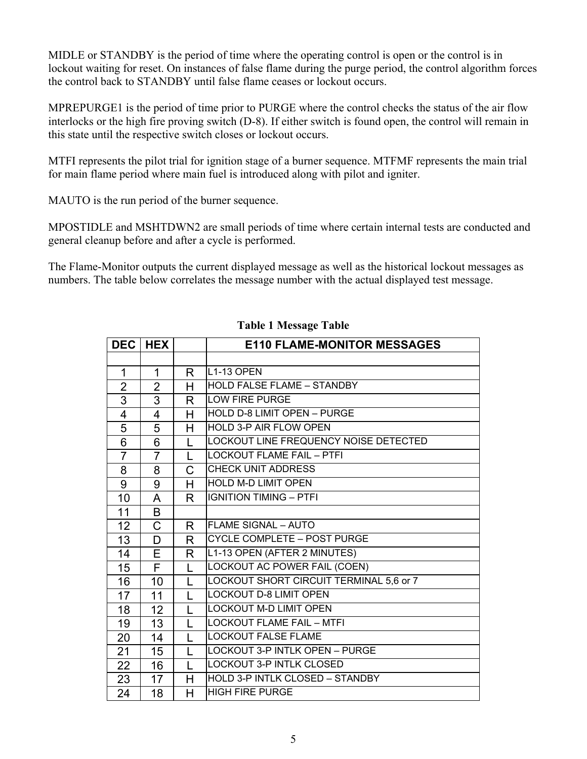MIDLE or STANDBY is the period of time where the operating control is open or the control is in lockout waiting for reset. On instances of false flame during the purge period, the control algorithm forces the control back to STANDBY until false flame ceases or lockout occurs.

MPREPURGE1 is the period of time prior to PURGE where the control checks the status of the air flow interlocks or the high fire proving switch (D-8). If either switch is found open, the control will remain in this state until the respective switch closes or lockout occurs.

MTFI represents the pilot trial for ignition stage of a burner sequence. MTFMF represents the main trial for main flame period where main fuel is introduced along with pilot and igniter.

MAUTO is the run period of the burner sequence.

MPOSTIDLE and MSHTDWN2 are small periods of time where certain internal tests are conducted and general cleanup before and after a cycle is performed.

The Flame-Monitor outputs the current displayed message as well as the historical lockout messages as numbers. The table below correlates the message number with the actual displayed test message.

|                | <b>DEC HEX</b> |              | <b>E110 FLAME-MONITOR MESSAGES</b>           |
|----------------|----------------|--------------|----------------------------------------------|
|                |                |              |                                              |
| 1              | 1              | R.           | L <sub>1</sub> -13 OPEN                      |
| $\overline{2}$ | $\overline{2}$ | H            | <b>HOLD FALSE FLAME - STANDBY</b>            |
| 3              | 3              | R            | <b>LOW FIRE PURGE</b>                        |
| 4              | 4              | н            | HOLD D-8 LIMIT OPEN - PURGE                  |
| 5              | 5              | H            | <b>HOLD 3-P AIR FLOW OPEN</b>                |
| 6              | 6              | $\mathsf{L}$ | <b>LOCKOUT LINE FREQUENCY NOISE DETECTED</b> |
| $\overline{7}$ | $\overline{7}$ | L            | LOCKOUT FLAME FAIL – PTFI                    |
| 8              | 8              | C            | <b>ICHECK UNIT ADDRESS</b>                   |
| 9              | 9              | H            | <b>HOLD M-D LIMIT OPEN</b>                   |
| 10             | A              | R.           | <b>IGNITION TIMING - PTFI</b>                |
| 11             | B              |              |                                              |
| 12             | C              | R.           | <b>FLAME SIGNAL - AUTO</b>                   |
| 13             | D              | R.           | CYCLE COMPLETE - POST PURGE                  |
| 14             | E              | R.           | L1-13 OPEN (AFTER 2 MINUTES)                 |
| 15             | F              | L            | LOCKOUT AC POWER FAIL (COEN)                 |
| 16             | 10             | L            | LOCKOUT SHORT CIRCUIT TERMINAL 5,6 or 7      |
| 17             | 11             | L            | <b>LOCKOUT D-8 LIMIT OPEN</b>                |
| 18             | 12             | L            | LOCKOUT M-D LIMIT OPEN                       |
| 19             | 13             | L            | LOCKOUT FLAME FAIL – MTFI                    |
| 20             | 14             | L            | <b>LOCKOUT FALSE FLAME</b>                   |
| 21             | 15             | L            | <b>LOCKOUT 3-P INTLK OPEN - PURGE</b>        |
| 22             | 16             | L            | LOCKOUT 3-P INTLK CLOSED                     |
| 23             | 17             | н            | HOLD 3-P INTLK CLOSED – STANDBY              |
| 24             | 18             | H            | <b>HIGH FIRE PURGE</b>                       |

## **Table 1 Message Table**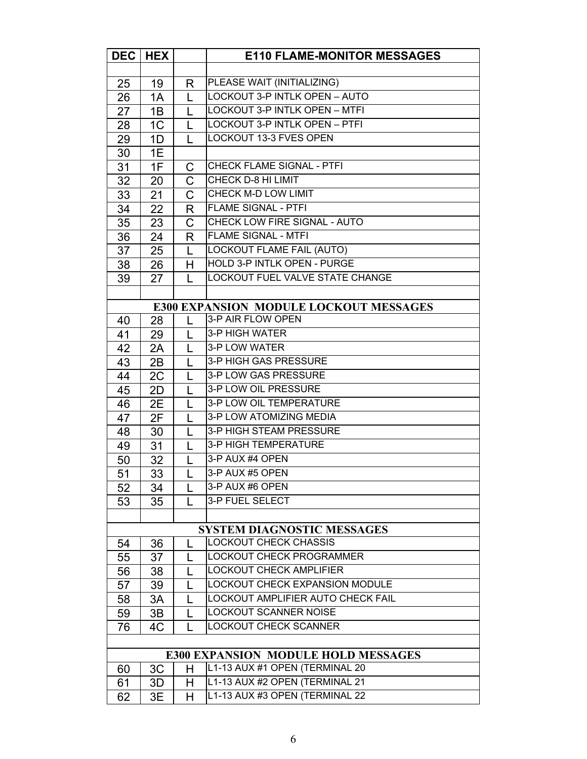| <b>DEC</b> | <b>HEX</b>     |              | <b>E110 FLAME-MONITOR MESSAGES</b>                                           |
|------------|----------------|--------------|------------------------------------------------------------------------------|
|            |                |              |                                                                              |
| 25         | 19             | R.           | PLEASE WAIT (INITIALIZING)                                                   |
| 26         | 1A             | L            | <b>LOCKOUT 3-P INTLK OPEN - AUTO</b>                                         |
| 27         | 1B             | L            | LOCKOUT 3-P INTLK OPEN - MTFL                                                |
| 28         | 1 <sub>C</sub> | L            | LOCKOUT 3-P INTLK OPEN - PTFI                                                |
| 29         | 1D             | $\mathbf{L}$ | LOCKOUT 13-3 FVES OPEN                                                       |
| 30         | 1E             |              |                                                                              |
| 31         | 1F             | C            | CHECK FLAME SIGNAL - PTFI                                                    |
| 32         | 20             | C            | CHECK D-8 HI LIMIT                                                           |
| 33         | 21             | Ć            | CHECK M-D LOW LIMIT                                                          |
| 34         | 22             | R            | <b>FLAME SIGNAL - PTFI</b>                                                   |
| 35         | 23             | C            | CHECK LOW FIRE SIGNAL - AUTO                                                 |
| 36         | 24             | R            | <b>FLAME SIGNAL - MTFI</b>                                                   |
| 37         | 25             | L            | <b>LOCKOUT FLAME FAIL (AUTO)</b>                                             |
| 38         | 26             | H.           | HOLD 3-P INTLK OPEN - PURGE                                                  |
| 39         | 27             | $\mathbf{L}$ | LOCKOUT FUEL VALVE STATE CHANGE                                              |
|            |                |              |                                                                              |
|            |                |              | <b>E300 EXPANSION MODULE LOCKOUT MESSAGES</b>                                |
| 40         | 28             | L            | 3-P AIR FLOW OPEN                                                            |
| 41         | 29             | $\mathsf{L}$ | 3-P HIGH WATER                                                               |
| 42         | 2A             | L            | 3-P LOW WATER                                                                |
| 43         | 2B             | L            | 3-P HIGH GAS PRESSURE                                                        |
| 44         | 2C             | L            | 3-P LOW GAS PRESSURE                                                         |
| 45         | 2D             | L            | <b>3-P LOW OIL PRESSURE</b>                                                  |
| 46         | 2E             | L            | 3-P LOW OIL TEMPERATURE                                                      |
| 47         | 2F             | L            | 3-P LOW ATOMIZING MEDIA                                                      |
| 48         | 30             | L            | 3-P HIGH STEAM PRESSURE                                                      |
| 49         | 31             | L            | <b>3-P HIGH TEMPERATURE</b>                                                  |
| 50         | 32             | L            | 3-P AUX #4 OPEN                                                              |
| 51         | 33             |              | 3-P AUX #5 OPEN                                                              |
| 52         | 34             | L            | 3-P AUX #6 OPEN                                                              |
| 53         | 35             | $\mathbf{L}$ | 3-P FUEL SELECT                                                              |
|            |                |              |                                                                              |
|            |                |              | <b>SYSTEM DIAGNOSTIC MESSAGES</b>                                            |
| 54         | 36             | L            | <b>LOCKOUT CHECK CHASSIS</b>                                                 |
| 55         | 37             | L            | <b>LOCKOUT CHECK PROGRAMMER</b>                                              |
| 56         | 38             | $\mathbf{L}$ | <b>LOCKOUT CHECK AMPLIFIER</b>                                               |
| 57         | 39             |              | <b>LOCKOUT CHECK EXPANSION MODULE</b>                                        |
| 58         | 3A             | L            | LOCKOUT AMPLIFIER AUTO CHECK FAIL                                            |
| 59         | 3B             |              | <b>LOCKOUT SCANNER NOISE</b>                                                 |
| 76         | 4C             | L            | <b>LOCKOUT CHECK SCANNER</b>                                                 |
|            |                |              |                                                                              |
|            |                |              | <b>E300 EXPANSION MODULE HOLD MESSAGES</b><br>L1-13 AUX #1 OPEN (TERMINAL 20 |
| 60         | 3C             | H.           | L1-13 AUX #2 OPEN (TERMINAL 21                                               |
| 61         | 3D             | H.           | L1-13 AUX #3 OPEN (TERMINAL 22                                               |
| 62         | 3E             | H.           |                                                                              |